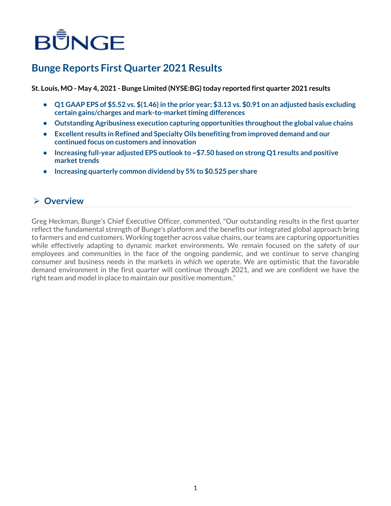# BUNGE

# **Bunge Reports First Quarter 2021 Results**

**St. Louis, MO - May 4, 2021 - Bunge Limited (NYSE:BG) today reported first quarter 2021 results**

- **• Q1 GAAP EPS of \$5.52 vs. \$(1.46) in the prior year; \$3.13 vs. \$0.91 on an adjusted basis excluding certain gains/charges and mark-to-market timing differences**
- **• Outstanding Agribusiness execution capturing opportunities throughout the global value chains**
- **• Excellent results in Refined and Specialty Oils benefiting from improved demand and our continued focus on customers and innovation**
- **• Increasing full-year adjusted EPS outlook to ~\$7.50 based on strong Q1 results and positive market trends**
- **• Increasing quarterly common dividend by 5% to \$0.525 per share**

# Ø **Overview**

Greg Heckman, Bunge's Chief Executive Officer, commented, "Our outstanding results in the first quarter reflect the fundamental strength of Bunge's platform and the benefits our integrated global approach bring to farmers and end customers. Working together across value chains, our teams are capturing opportunities while effectively adapting to dynamic market environments. We remain focused on the safety of our employees and communities in the face of the ongoing pandemic, and we continue to serve changing consumer and business needs in the markets in which we operate. We are optimistic that the favorable demand environment in the first quarter will continue through 2021, and we are confident we have the right team and model in place to maintain our positive momentum."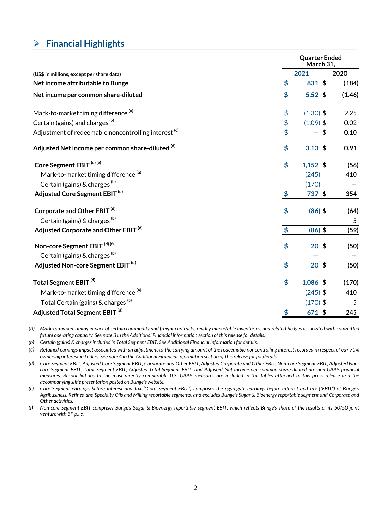## <span id="page-1-0"></span>Ø **Financial Highlights**

|                                                      |                           | <b>Quarter Ended</b><br>March 31, |        |  |  |  |  |
|------------------------------------------------------|---------------------------|-----------------------------------|--------|--|--|--|--|
| (US\$ in millions, except per share data)            |                           | 2021                              | 2020   |  |  |  |  |
| Net income attributable to Bunge                     | $\boldsymbol{\hat{z}}$    | 831 \$                            | (184)  |  |  |  |  |
| Net income per common share-diluted                  | \$                        | $5.52$ \$                         | (1.46) |  |  |  |  |
| Mark-to-market timing difference <sup>(a)</sup>      | \$                        | $(1.30)$ \$                       | 2.25   |  |  |  |  |
| Certain (gains) and charges <sup>(b)</sup>           | \$                        | $(1.09)$ \$                       | 0.02   |  |  |  |  |
| Adjustment of redeemable noncontrolling interest (c) | \$                        | \$                                | 0.10   |  |  |  |  |
| Adjusted Net income per common share-diluted (d)     | \$                        | $3.13$ \$                         | 0.91   |  |  |  |  |
| Core Segment EBIT <sup>(d)(e)</sup>                  | \$                        | $1,152$ \$                        | (56)   |  |  |  |  |
| Mark-to-market timing difference <sup>(a)</sup>      |                           | (245)                             | 410    |  |  |  |  |
| Certain (gains) & charges (b)                        |                           | (170)                             |        |  |  |  |  |
| Adjusted Core Segment EBIT <sup>(d)</sup>            | \$                        | 737 \$                            | 354    |  |  |  |  |
| Corporate and Other EBIT <sup>(d)</sup>              | \$                        | $(86)$ \$                         | (64)   |  |  |  |  |
| Certain (gains) & charges (b)                        |                           |                                   | 5      |  |  |  |  |
| Adjusted Corporate and Other EBIT <sup>(d)</sup>     | \$                        | $(86)$ \$                         | (59)   |  |  |  |  |
| Non-core Segment EBIT <sup>(d)(f)</sup>              | \$                        | $20 \;$ \$                        | (50)   |  |  |  |  |
| Certain (gains) & charges (b)                        |                           |                                   |        |  |  |  |  |
| Adjusted Non-core Segment EBIT <sup>(d)</sup>        | \$                        | $20 \;$ \$                        | (50)   |  |  |  |  |
| Total Segment EBIT <sup>(d)</sup>                    | \$                        | 1,086 \$                          | (170)  |  |  |  |  |
| Mark-to-market timing difference <sup>(a)</sup>      |                           | $(245)$ \$                        | 410    |  |  |  |  |
| Total Certain (gains) & charges (b)                  |                           | $(170)$ \$                        | 5      |  |  |  |  |
| Adjusted Total Segment EBIT <sup>(d)</sup>           | $\boldsymbol{\hat{\phi}}$ | $671$ \$                          | 245    |  |  |  |  |

*(a) Mark-to-market timing impact of certain commodity and freight contracts, readily marketable inventories, and related hedges associated with committed future operating capacity. See note 3 in the Additional Financial information section of this release for details.* 

*(b) Certain (gains) & charges included in Total Segment EBIT. See Additional Financial Information for details.* 

*(c) Retained earnings impact associated with an adjustment to the carrying amount of the redeemable noncontrolling interest recorded in respect of our 70% ownership interest in Loders. See note 4 in the Additional Financial information section of this release for for details.*

*(d) Core Segment EBIT, Adjusted Core Segment EBIT, Corporate and Other EBIT, Adjusted Corporate and Other EBIT, Non-core Segment EBIT, Adjusted Noncore Segment EBIT, Total Segment EBIT, Adjusted Total Segment EBIT, and Adjusted Net income per common share-diluted are non-GAAP financial measures. Reconciliations to the most directly comparable U.S. GAAP measures are included in the tables attached to this press release and the accompanying slide presentation posted on Bunge's website.* 

*(e) Core Segment earnings before interest and tax ("Core Segment EBIT") comprises the aggregate earnings before interest and tax ("EBIT") of Bunge's Agribusiness, Refined and Specialty Oils and Milling reportable segments, and excludes Bunge's Sugar & Bioenergy reportable segment and Corporate and Other activities.*

*(f) Non-core Segment EBIT comprises Bunge's Sugar & Bioenergy reportable segment EBIT, which reflects Bunge's share of the results of its 50/50 joint venture with BP p.l.c.*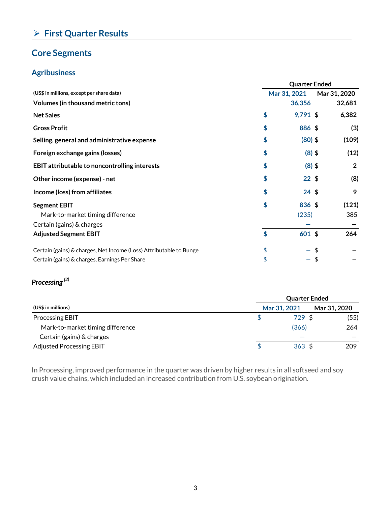# Ø **First Quarter Results**

# **Core Segments**

#### **Agribusiness**

|                                                                    | <b>Quarter Ended</b> |              |    |                |  |  |  |
|--------------------------------------------------------------------|----------------------|--------------|----|----------------|--|--|--|
| (US\$ in millions, except per share data)                          |                      | Mar 31, 2021 |    | Mar 31, 2020   |  |  |  |
| Volumes (in thousand metric tons)                                  |                      | 36,356       |    | 32,681         |  |  |  |
| <b>Net Sales</b>                                                   | \$                   | $9,791$ \$   |    | 6,382          |  |  |  |
| <b>Gross Profit</b>                                                | \$                   | 886 \$       |    | (3)            |  |  |  |
| Selling, general and administrative expense                        | \$                   | $(80)$ \$    |    | (109)          |  |  |  |
| Foreign exchange gains (losses)                                    | \$                   | $(8)$ \$     |    | (12)           |  |  |  |
| <b>EBIT attributable to noncontrolling interests</b>               | \$                   | $(8)$ \$     |    | $\overline{2}$ |  |  |  |
| Other income (expense) - net                                       | \$                   | $22 \;$ \$   |    | (8)            |  |  |  |
| Income (loss) from affiliates                                      | \$                   | $24 \;$ \$   |    | 9              |  |  |  |
| <b>Segment EBIT</b>                                                | \$                   | 836 \$       |    | (121)          |  |  |  |
| Mark-to-market timing difference                                   |                      | (235)        |    | 385            |  |  |  |
| Certain (gains) & charges                                          |                      |              |    |                |  |  |  |
| <b>Adjusted Segment EBIT</b>                                       | \$                   | $601$ \$     |    | 264            |  |  |  |
| Certain (gains) & charges, Net Income (Loss) Attributable to Bunge | \$                   |              | \$ |                |  |  |  |
| Certain (gains) & charges, Earnings Per Share                      | \$                   |              | \$ |                |  |  |  |

# *Processing (2)*

|                                  | <b>Quarter Ended</b> |              |  |  |  |
|----------------------------------|----------------------|--------------|--|--|--|
| (US\$ in millions)               | Mar 31, 2021         | Mar 31, 2020 |  |  |  |
| <b>Processing EBIT</b>           | 729S                 | (55)         |  |  |  |
| Mark-to-market timing difference | (366)                | 264          |  |  |  |
| Certain (gains) & charges        |                      | –            |  |  |  |
| <b>Adjusted Processing EBIT</b>  | $363$ \$             | 209          |  |  |  |

In Processing, improved performance in the quarter was driven by higher results in all softseed and soy crush value chains, which included an increased contribution from U.S. soybean origination.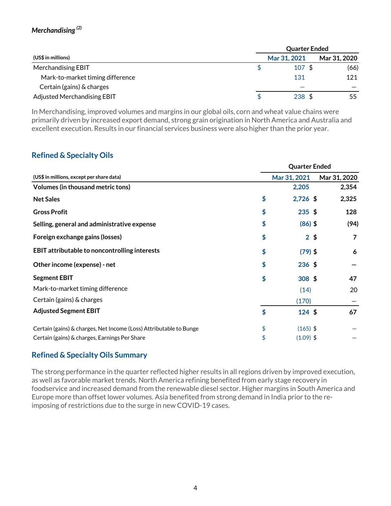#### *Merchandising (2)*  $\overline{1}$

| (US\$ in millions)               | <b>Quarter Ended</b> |  |              |  |  |  |  |
|----------------------------------|----------------------|--|--------------|--|--|--|--|
|                                  | Mar 31, 2021         |  | Mar 31, 2020 |  |  |  |  |
| <b>Merchandising EBIT</b>        | 107 <sup>5</sup>     |  | (66)         |  |  |  |  |
| Mark-to-market timing difference | 131                  |  | 121          |  |  |  |  |
| Certain (gains) & charges        |                      |  |              |  |  |  |  |
| Adjusted Merchandising EBIT      | $238 \;$ \$          |  | 55           |  |  |  |  |

In Merchandising, improved volumes and margins in our global oils, corn and wheat value chains were primarily driven by increased export demand, strong grain origination in North America and Australia and excellent execution. Results in our financial services business were also higher than the prior year.

## **Refined & Specialty Oils**

|                                                                    | <b>Quarter Ended</b> |                 |  |              |  |  |  |
|--------------------------------------------------------------------|----------------------|-----------------|--|--------------|--|--|--|
| (US\$ in millions, except per share data)                          |                      | Mar 31, 2021    |  | Mar 31, 2020 |  |  |  |
| Volumes (in thousand metric tons)                                  |                      | 2,205           |  | 2,354        |  |  |  |
| <b>Net Sales</b>                                                   | \$                   | $2,726$ \$      |  | 2,325        |  |  |  |
| <b>Gross Profit</b>                                                | \$                   | $235$ \$        |  | 128          |  |  |  |
| Selling, general and administrative expense                        | \$                   | $(86)$ \$       |  | (94)         |  |  |  |
| Foreign exchange gains (losses)                                    | \$                   | $2 \frac{1}{2}$ |  | 7            |  |  |  |
| <b>EBIT attributable to noncontrolling interests</b>               | \$                   | $(79)$ \$       |  | 6            |  |  |  |
| Other income (expense) - net                                       | \$                   | $236 \;$ \$     |  |              |  |  |  |
| <b>Segment EBIT</b>                                                | \$                   | $308 \;$ \$     |  | 47           |  |  |  |
| Mark-to-market timing difference                                   |                      | (14)            |  | 20           |  |  |  |
| Certain (gains) & charges                                          |                      | (170)           |  |              |  |  |  |
| <b>Adjusted Segment EBIT</b>                                       | \$                   | $124$ \$        |  | 67           |  |  |  |
| Certain (gains) & charges, Net Income (Loss) Attributable to Bunge | \$                   | $(165)$ \$      |  |              |  |  |  |
| Certain (gains) & charges, Earnings Per Share                      | \$                   | $(1.09)$ \$     |  |              |  |  |  |

#### **Refined & Specialty Oils Summary**

The strong performance in the quarter reflected higher results in all regions driven by improved execution, as well as favorable market trends. North America refining benefited from early stage recovery in foodservice and increased demand from the renewable diesel sector. Higher margins in South America and Europe more than offset lower volumes. Asia benefited from strong demand in India prior to the reimposing of restrictions due to the surge in new COVID-19 cases.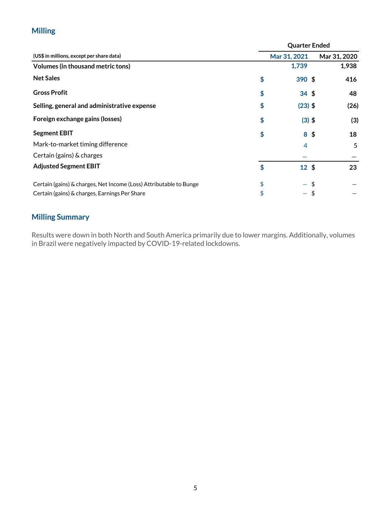#### **Milling** í

|                                                                    | <b>Quarter Ended</b> |               |              |  |  |  |  |
|--------------------------------------------------------------------|----------------------|---------------|--------------|--|--|--|--|
| (US\$ in millions, except per share data)                          |                      | Mar 31, 2021  | Mar 31, 2020 |  |  |  |  |
| Volumes (in thousand metric tons)                                  |                      | 1,739         | 1,938        |  |  |  |  |
| <b>Net Sales</b>                                                   | \$                   | $390*$        | 416          |  |  |  |  |
| <b>Gross Profit</b>                                                | \$                   | $34 \;$ \$    | 48           |  |  |  |  |
| Selling, general and administrative expense                        | \$                   | $(23)$ \$     | (26)         |  |  |  |  |
| Foreign exchange gains (losses)                                    | \$                   | $(3)$ \$      | (3)          |  |  |  |  |
| <b>Segment EBIT</b>                                                | \$                   | 8<br>\$       | 18           |  |  |  |  |
| Mark-to-market timing difference                                   |                      | 4             | 5            |  |  |  |  |
| Certain (gains) & charges                                          |                      |               |              |  |  |  |  |
| <b>Adjusted Segment EBIT</b>                                       | \$                   | $12 \text{ }$ | 23           |  |  |  |  |
| Certain (gains) & charges, Net Income (Loss) Attributable to Bunge | \$                   | \$            |              |  |  |  |  |
| Certain (gains) & charges, Earnings Per Share                      | \$                   | \$<br>-       |              |  |  |  |  |

#### **Milling Summary**

Results were down in both North and South America primarily due to lower margins. Additionally, volumes in Brazil were negatively impacted by COVID-19-related lockdowns.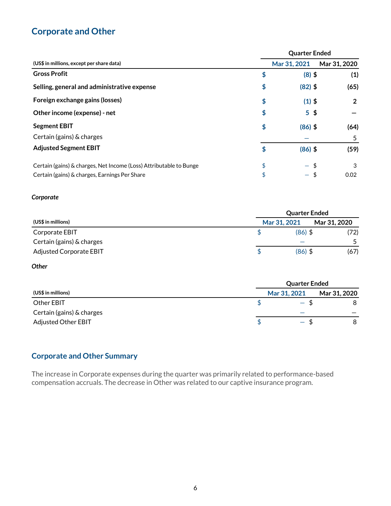#### **Corporate and Other**  j

|                                                                    | <b>Quarter Ended</b> |                                |                |  |  |  |  |
|--------------------------------------------------------------------|----------------------|--------------------------------|----------------|--|--|--|--|
| (US\$ in millions, except per share data)                          |                      | Mar 31, 2021                   | Mar 31, 2020   |  |  |  |  |
| <b>Gross Profit</b>                                                | \$                   | $(8)$ \$                       | (1)            |  |  |  |  |
| Selling, general and administrative expense                        | \$                   | $(82)$ \$                      | (65)           |  |  |  |  |
| Foreign exchange gains (losses)                                    | \$                   | $(1)$ \$                       | $\overline{2}$ |  |  |  |  |
| Other income (expense) - net                                       | \$                   | 5 <sup>5</sup>                 |                |  |  |  |  |
| <b>Segment EBIT</b>                                                | \$                   | $(86)$ \$                      | (64)           |  |  |  |  |
| Certain (gains) & charges                                          |                      |                                | 5              |  |  |  |  |
| <b>Adjusted Segment EBIT</b>                                       | \$                   | $(86)$ \$                      | (59)           |  |  |  |  |
| Certain (gains) & charges, Net Income (Loss) Attributable to Bunge | \$                   | $-5$                           | 3              |  |  |  |  |
| Certain (gains) & charges, Earnings Per Share                      | \$                   | \$<br>$\overline{\phantom{m}}$ | 0.02           |  |  |  |  |

#### *Corporate*

|                           |  | <b>Quarter Ended</b> |              |
|---------------------------|--|----------------------|--------------|
| (US\$ in millions)        |  | Mar 31, 2021         | Mar 31, 2020 |
| Corporate EBIT            |  | (86) \$              | (72)         |
| Certain (gains) & charges |  |                      |              |
| Adjusted Corporate EBIT   |  | $(86)$ \$            | (67)         |

*Other*

|                            |  | <b>Quarter Ended</b> |              |
|----------------------------|--|----------------------|--------------|
| (US\$ in millions)         |  | Mar 31, 2021         | Mar 31, 2020 |
| Other EBIT                 |  | $-$ \$               |              |
| Certain (gains) & charges  |  |                      |              |
| <b>Adjusted Other EBIT</b> |  | $-$ 8                |              |

#### **Corporate and Other Summary**

The increase in Corporate expenses during the quarter was primarily related to performance-based compensation accruals. The decrease in Other was related to our captive insurance program.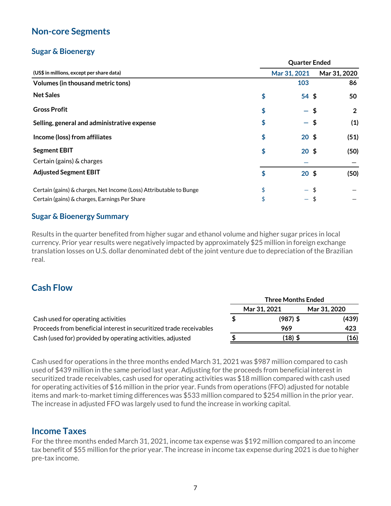#### **Non-core Segments** í

#### **Sugar & Bioenergy**

|                                                                    | <b>Quarter Ended</b> |                          |    |                |  |  |  |
|--------------------------------------------------------------------|----------------------|--------------------------|----|----------------|--|--|--|
| (US\$ in millions, except per share data)                          |                      | Mar 31, 2021             |    | Mar 31, 2020   |  |  |  |
| Volumes (in thousand metric tons)                                  |                      | 103                      |    | 86             |  |  |  |
| <b>Net Sales</b>                                                   | \$                   | $54 \;$ \$               |    | 50             |  |  |  |
| <b>Gross Profit</b>                                                | \$                   | -                        | \$ | $\overline{2}$ |  |  |  |
| Selling, general and administrative expense                        | \$                   | $\overline{\phantom{0}}$ | \$ | (1)            |  |  |  |
| Income (loss) from affiliates                                      | \$                   | $20 \;$ \$               |    | (51)           |  |  |  |
| <b>Segment EBIT</b>                                                | \$                   | $20 \;$ \$               |    | (50)           |  |  |  |
| Certain (gains) & charges                                          |                      |                          |    |                |  |  |  |
| <b>Adjusted Segment EBIT</b>                                       | \$                   | $20 \;$ \$               |    | (50)           |  |  |  |
| Certain (gains) & charges, Net Income (Loss) Attributable to Bunge | \$                   | $\overline{\phantom{0}}$ | \$ |                |  |  |  |
| Certain (gains) & charges, Earnings Per Share                      | \$                   | -                        | \$ |                |  |  |  |

#### **Sugar & Bioenergy Summary**

Results in the quarter benefited from higher sugar and ethanol volume and higher sugar prices in local currency. Prior year results were negatively impacted by approximately \$25 million in foreign exchange translation losses on U.S. dollar denominated debt of the joint venture due to depreciation of the Brazilian real.

## **Cash Flow**

|                                                                    | <b>Three Months Ended</b> |              |              |  |  |  |
|--------------------------------------------------------------------|---------------------------|--------------|--------------|--|--|--|
|                                                                    |                           | Mar 31, 2021 | Mar 31, 2020 |  |  |  |
| Cash used for operating activities                                 |                           | $(987)$ \$   | (439)        |  |  |  |
| Proceeds from beneficial interest in securitized trade receivables |                           | 969          | 423          |  |  |  |
| Cash (used for) provided by operating activities, adjusted         |                           | (18) \$      | (16)         |  |  |  |

Cash used for operations in the three months ended March 31, 2021 was \$987 million compared to cash used of \$439 million in the same period last year. Adjusting for the proceeds from beneficial interest in securitized trade receivables, cash used for operating activities was \$18 million compared with cash used for operating activities of \$16 million in the prior year. Funds from operations (FFO) adjusted for notable items and mark-to-market timing differences was \$533 million compared to \$254 million in the prior year. The increase in adjusted FFO was largely used to fund the increase in working capital.

### **Income Taxes**

For the three months ended March 31, 2021, income tax expense was \$192 million compared to an income tax benefit of \$55 million for the prior year. The increase in income tax expense during 2021 is due to higher pre-tax income.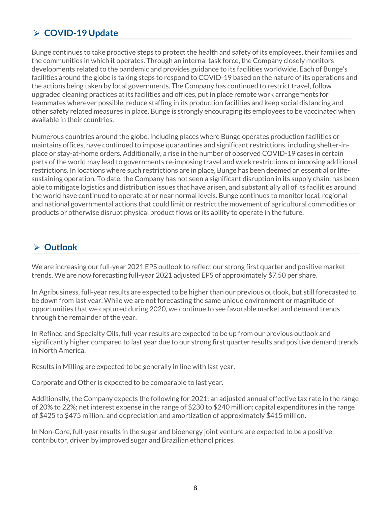# Ø **COVID-19 Update**

Bunge continues to take proactive steps to protect the health and safety of its employees, their families and the communities in which it operates. Through an internal task force, the Company closely monitors developments related to the pandemic and provides guidance to its facilities worldwide. Each of Bunge's facilities around the globe is taking steps to respond to COVID-19 based on the nature of its operations and the actions being taken by local governments. The Company has continued to restrict travel, follow upgraded cleaning practices at its facilities and offices, put in place remote work arrangements for teammates wherever possible, reduce staffing in its production facilities and keep social distancing and other safety related measures in place. Bunge is strongly encouraging its employees to be vaccinated when available in their countries.

Numerous countries around the globe, including places where Bunge operates production facilities or maintains offices, have continued to impose quarantines and significant restrictions, including shelter-inplace or stay-at-home orders. Additionally, a rise in the number of observed COVID-19 cases in certain parts of the world may lead to governments re-imposing travel and work restrictions or imposing additional restrictions. In locations where such restrictions are in place, Bunge has been deemed an essential or lifesustaining operation. To date, the Company has not seen a significant disruption in its supply chain, has been able to mitigate logistics and distribution issues that have arisen, and substantially all of its facilities around the world have continued to operate at or near normal levels. Bunge continues to monitor local, regional and national governmental actions that could limit or restrict the movement of agricultural commodities or products or otherwise disrupt physical product flows or its ability to operate in the future.

## Ø **Outlook**

We are increasing our full-year 2021 EPS outlook to reflect our strong first quarter and positive market trends. We are now forecasting full-year 2021 adjusted EPS of approximately \$7.50 per share.

In Agribusiness, full-year results are expected to be higher than our previous outlook, but still forecasted to be down from last year. While we are not forecasting the same unique environment or magnitude of opportunities that we captured during 2020, we continue to see favorable market and demand trends through the remainder of the year.

In Refined and Specialty Oils, full-year results are expected to be up from our previous outlook and significantly higher compared to last year due to our strong first quarter results and positive demand trends in North America.

Results in Milling are expected to be generally in line with last year.

Corporate and Other is expected to be comparable to last year.

Additionally, the Company expects the following for 2021: an adjusted annual effective tax rate in the range of 20% to 22%; net interest expense in the range of \$230 to \$240 million; capital expenditures in the range of \$425 to \$475 million; and depreciation and amortization of approximately \$415 million.

In Non-Core, full-year results in the sugar and bioenergy joint venture are expected to be a positive contributor, driven by improved sugar and Brazilian ethanol prices.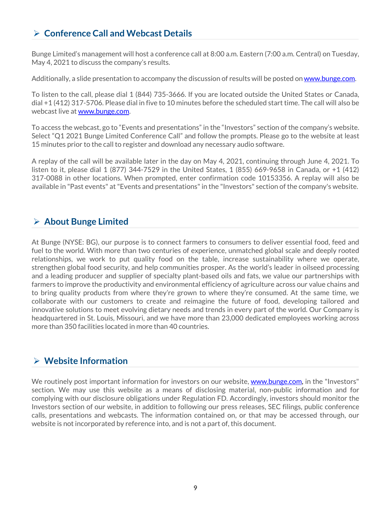# Ø **Conference Call and Webcast Details**

Bunge Limited's management will host a conference call at 8:00 a.m. Eastern (7:00 a.m. Central) on Tuesday, May 4, 2021 to discuss the company's results.

Additionally, a slide presentation to accompany the discussion of results will be posted on www.bunge.com.

To listen to the call, please dial 1 (844) 735-3666. If you are located outside the United States or Canada, dial +1 (412) 317-5706. Please dial in five to 10 minutes before the scheduled start time. The call will also be webcast live at www.bunge.com.

To access the webcast, go to "Events and presentations" in the "Investors" section of the company's website. Select "Q1 2021 Bunge Limited Conference Call" and follow the prompts. Please go to the website at least 15 minutes prior to the call to register and download any necessary audio software.

A replay of the call will be available later in the day on May 4, 2021, continuing through June 4, 2021. To listen to it, please dial 1 (877) 344-7529 in the United States, 1 (855) 669-9658 in Canada, or +1 (412) 317-0088 in other locations. When prompted, enter confirmation code 10153356. A replay will also be available in "Past events" at "Events and presentations" in the "Investors" section of the company's website.

# Ø **About Bunge Limited**

At Bunge (NYSE: BG), our purpose is to connect farmers to consumers to deliver essential food, feed and fuel to the world. With more than two centuries of experience, unmatched global scale and deeply rooted relationships, we work to put quality food on the table, increase sustainability where we operate, strengthen global food security, and help communities prosper. As the world's leader in oilseed processing and a leading producer and supplier of specialty plant-based oils and fats, we value our partnerships with farmers to improve the productivity and environmental efficiency of agriculture across our value chains and to bring quality products from where they're grown to where they're consumed. At the same time, we collaborate with our customers to create and reimagine the future of food, developing tailored and innovative solutions to meet evolving dietary needs and trends in every part of the world. Our Company is headquartered in St. Louis, Missouri, and we have more than 23,000 dedicated employees working across more than 350 facilities located in more than 40 countries.

## Ø **Website Information**

We routinely post important information for investors on our website, [www.bunge.com,](#page-1-0) in the "Investors" section. We may use this website as a means of disclosing material, non-public information and for complying with our disclosure obligations under Regulation FD. Accordingly, investors should monitor the Investors section of our website, in addition to following our press releases, SEC filings, public conference calls, presentations and webcasts. The information contained on, or that may be accessed through, our website is not incorporated by reference into, and is not a part of, this document.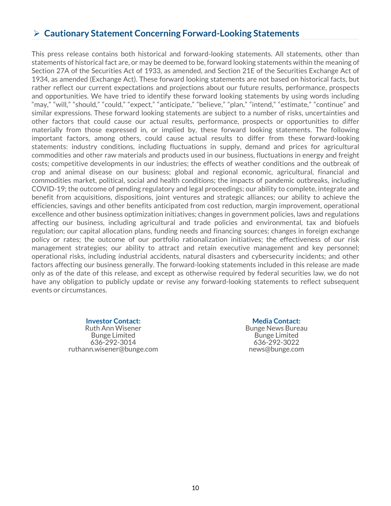# Ø **Cautionary Statement Concerning Forward-Looking Statements**

This press release contains both historical and forward-looking statements. All statements, other than statements of historical fact are, or may be deemed to be, forward looking statements within the meaning of Section 27A of the Securities Act of 1933, as amended, and Section 21E of the Securities Exchange Act of 1934, as amended (Exchange Act). These forward looking statements are not based on historical facts, but rather reflect our current expectations and projections about our future results, performance, prospects and opportunities. We have tried to identify these forward looking statements by using words including "may," "will," "should," "could," "expect," "anticipate," "believe," "plan," "intend," "estimate," "continue" and similar expressions. These forward looking statements are subject to a number of risks, uncertainties and other factors that could cause our actual results, performance, prospects or opportunities to differ materially from those expressed in, or implied by, these forward looking statements. The following important factors, among others, could cause actual results to differ from these forward-looking statements: industry conditions, including fluctuations in supply, demand and prices for agricultural commodities and other raw materials and products used in our business, fluctuations in energy and freight costs; competitive developments in our industries; the effects of weather conditions and the outbreak of crop and animal disease on our business; global and regional economic, agricultural, financial and commodities market, political, social and health conditions; the impacts of pandemic outbreaks, including COVID-19; the outcome of pending regulatory and legal proceedings; our ability to complete, integrate and benefit from acquisitions, dispositions, joint ventures and strategic alliances; our ability to achieve the efficiencies, savings and other benefits anticipated from cost reduction, margin improvement, operational excellence and other business optimization initiatives; changes in government policies, laws and regulations affecting our business, including agricultural and trade policies and environmental, tax and biofuels regulation; our capital allocation plans, funding needs and financing sources; changes in foreign exchange policy or rates; the outcome of our portfolio rationalization initiatives; the effectiveness of our risk management strategies; our ability to attract and retain executive management and key personnel; operational risks, including industrial accidents, natural disasters and cybersecurity incidents; and other factors affecting our business generally. The forward-looking statements included in this release are made only as of the date of this release, and except as otherwise required by federal securities law, we do not have any obligation to publicly update or revise any forward-looking statements to reflect subsequent events or circumstances.

#### **Investor Contact:**

Ruth Ann Wisener Bunge Limited 636-292-3014 ruthann.wisener@bunge.com

#### **Media Contact:** Bunge News Bureau Bunge Limited 636-292-3022

news@bunge.com

10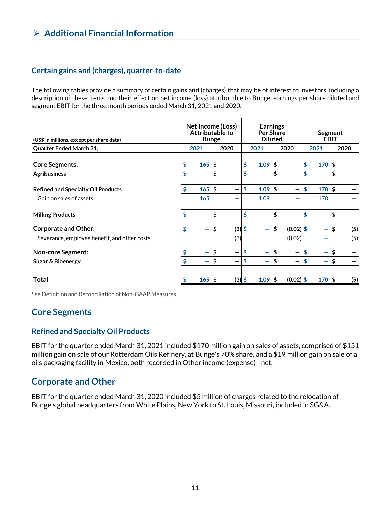#### **Certain gains and (charges), quarter-to-date**

The following tables provide a summary of certain gains and (charges) that may be of interest to investors, including a description of these items and their effect on net income (loss) attributable to Bunge, earnings per share diluted and segment EBIT for the three month periods ended March 31, 2021 and 2020.

| (US\$ in millions, except per share data)    | <b>Net Income (Loss)</b><br>Attributable to<br><b>Bunge</b> |          |      | <b>Earnings</b><br><b>Per Share</b><br><b>Diluted</b> |    |                   |      | Segment<br><b>EBIT</b>   |                         |          |    |      |
|----------------------------------------------|-------------------------------------------------------------|----------|------|-------------------------------------------------------|----|-------------------|------|--------------------------|-------------------------|----------|----|------|
| Quarter Ended March 31,                      |                                                             | 2021     |      | 2020                                                  |    | 2021              |      | 2020                     |                         | 2021     |    | 2020 |
| <b>Core Segments:</b>                        | \$                                                          | $165$ \$ |      | $\overline{\phantom{0}}$                              | \$ | $1.09 \;$ \$      |      | $\qquad \qquad$          | \$                      | $170*$   |    |      |
| <b>Agribusiness</b>                          | \$                                                          |          | - \$ | $\overline{\phantom{0}}$                              | \$ | $\equiv$          | - \$ | $\overline{\phantom{m}}$ | ا \$                    | $\equiv$ | \$ |      |
| <b>Refined and Specialty Oil Products</b>    |                                                             | $165$ \$ |      |                                                       | \$ | $1.09 \;$ \$      |      | $\overline{\phantom{m}}$ | $\overline{\mathbf{3}}$ | 170 \$   |    |      |
| Gain on sales of assets                      |                                                             | 165      |      |                                                       |    | 1.09              |      |                          |                         | 170      |    |      |
| <b>Milling Products</b>                      | \$                                                          |          | \$   |                                                       | \$ |                   | \$   |                          | \$                      |          | \$ |      |
| <b>Corporate and Other:</b>                  | S                                                           |          | - 56 | $(3)$ \$                                              |    |                   | \$   | $(0.02)$ \$              |                         |          | \$ | (5)  |
| Severance, employee benefit, and other costs |                                                             |          |      | (3)                                                   |    |                   |      | (0.02)                   |                         |          |    | (5)  |
| <b>Non-core Segment:</b>                     | \$                                                          |          |      | -                                                     | \$ |                   |      | $\overline{\phantom{m}}$ | 5                       |          | S  |      |
| <b>Sugar &amp; Bioenergy</b>                 | \$                                                          |          | \$   | $\overline{\phantom{0}}$                              | \$ |                   | \$   | $\qquad \qquad$          |                         |          | \$ |      |
| <b>Total</b>                                 | \$                                                          | 165S     |      | $(3)$ \$                                              |    | 1.09 <sup>5</sup> |      | $(0.02)$ \$              |                         | 170 \$   |    | (5)  |

See Definition and Reconciliation of Non-GAAP Measures.

# **Core Segments**

#### **Refined and Specialty Oil Products**

EBIT for the quarter ended March 31, 2021 included \$170 million gain on sales of assets, comprised of \$151 million gain on sale of our Rotterdam Oils Refinery, at Bunge's 70% share, and a \$19 million gain on sale of a oils packaging facility in Mexico, both recorded in Other income (expense) - net.

### **Corporate and Other**

EBIT for the quarter ended March 31, 2020 included \$5 million of charges related to the relocation of Bunge's global headquarters from White Plains, New York to St. Louis, Missouri, included in SG&A.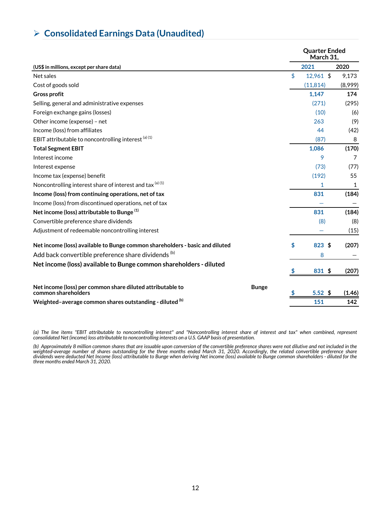# Ø **Consolidated Earnings Data (Unaudited)**

|                                                                                   |              | <b>Quarter Ended</b><br>March 31, |         |
|-----------------------------------------------------------------------------------|--------------|-----------------------------------|---------|
| (US\$ in millions, except per share data)                                         |              | 2021                              | 2020    |
| Net sales                                                                         |              | \$<br>$12,961$ \$                 | 9,173   |
| Cost of goods sold                                                                |              | (11, 814)                         | (8,999) |
| <b>Gross profit</b>                                                               |              | 1,147                             | 174     |
| Selling, general and administrative expenses                                      |              | (271)                             | (295)   |
| Foreign exchange gains (losses)                                                   |              | (10)                              | (6)     |
| Other income (expense) - net                                                      |              | 263                               | (9)     |
| Income (loss) from affiliates                                                     |              | 44                                | (42)    |
| EBIT attributable to noncontrolling interest $(a)$ (1)                            |              | (87)                              | 8       |
| <b>Total Segment EBIT</b>                                                         |              | 1,086                             | (170)   |
| Interest income                                                                   |              | 9                                 | 7       |
| Interest expense                                                                  |              | (73)                              | (77)    |
| Income tax (expense) benefit                                                      |              | (192)                             | 55      |
| Noncontrolling interest share of interest and tax <sup>(a)(1)</sup>               |              | 1                                 | 1       |
| Income (loss) from continuing operations, net of tax                              |              | 831                               | (184)   |
| Income (loss) from discontinued operations, net of tax                            |              |                                   |         |
| Net income (loss) attributable to Bunge <sup>(1)</sup>                            |              | 831                               | (184)   |
| Convertible preference share dividends                                            |              | (8)                               | (8)     |
| Adjustment of redeemable noncontrolling interest                                  |              |                                   | (15)    |
| Net income (loss) available to Bunge common shareholders - basic and diluted      |              | \$<br>823 \$                      | (207)   |
| Add back convertible preference share dividends (b)                               |              | 8                                 |         |
| Net income (loss) available to Bunge common shareholders - diluted                |              |                                   |         |
|                                                                                   |              | 831 \$                            | (207)   |
| Net income (loss) per common share diluted attributable to<br>common shareholders | <b>Bunge</b> | 5.52~\$                           | (1.46)  |
| Weighted-average common shares outstanding - diluted (b)                          |              | 151                               | 142     |
|                                                                                   |              |                                   |         |

*(a) The line items "EBIT attributable to noncontrolling interest" and "Noncontrolling interest share of interest and tax" when combined, represent consolidated Net (income) loss attributable to noncontrolling interests on a U.S. GAAP basis of presentation.*

*(b) Approximately 8 million common shares that are issuable upon conversion of the convertible preference shares were not dilutive and not included in the weighted-average number of shares outstanding for the three months ended March 31, 2020. Accordingly, the related convertible preference share dividends were deducted Net Income (loss) attributable to Bunge when deriving Net income (loss) available to Bunge common shareholders - diluted for the three months ended March 31, 2020.*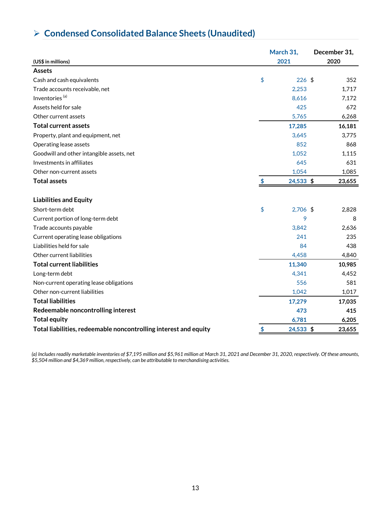# Ø **Condensed Consolidated Balance Sheets (Unaudited)**

|                                                                        | March 31, | December 31, |  |
|------------------------------------------------------------------------|-----------|--------------|--|
| (US\$ in millions)                                                     | 2021      | 2020         |  |
| <b>Assets</b>                                                          |           |              |  |
| \$<br>Cash and cash equivalents                                        | $226$ \$  | 352          |  |
| Trade accounts receivable, net                                         | 2,253     | 1,717        |  |
| Inventories <sup>(a)</sup>                                             | 8,616     | 7,172        |  |
| Assets held for sale                                                   | 425       | 672          |  |
| Other current assets                                                   | 5,765     | 6,268        |  |
| <b>Total current assets</b>                                            | 17,285    | 16,181       |  |
| Property, plant and equipment, net                                     | 3,645     | 3,775        |  |
| Operating lease assets                                                 | 852       | 868          |  |
| Goodwill and other intangible assets, net                              | 1,052     | 1,115        |  |
| Investments in affiliates                                              | 645       | 631          |  |
| Other non-current assets                                               | 1,054     | 1,085        |  |
| <b>Total assets</b><br>\$                                              | 24,533 \$ | 23,655       |  |
|                                                                        |           |              |  |
| <b>Liabilities and Equity</b>                                          |           |              |  |
| \$<br>Short-term debt                                                  | 2,706 \$  | 2,828        |  |
| Current portion of long-term debt                                      | 9         | 8            |  |
| Trade accounts payable                                                 | 3,842     | 2,636        |  |
| Current operating lease obligations                                    | 241       | 235          |  |
| Liabilities held for sale                                              | 84        | 438          |  |
| Other current liabilities                                              | 4,458     | 4,840        |  |
| <b>Total current liabilities</b>                                       | 11,340    | 10,985       |  |
| Long-term debt                                                         | 4,341     | 4,452        |  |
| Non-current operating lease obligations                                | 556       | 581          |  |
| Other non-current liabilities                                          | 1,042     | 1,017        |  |
| <b>Total liabilities</b>                                               | 17,279    | 17,035       |  |
| Redeemable noncontrolling interest                                     | 473       | 415          |  |
| <b>Total equity</b>                                                    | 6,781     | 6,205        |  |
| Total liabilities, redeemable noncontrolling interest and equity<br>\$ | 24,533 \$ | 23,655       |  |

*(a) Includes readily marketable inventories of \$7,195 million and \$5,961 million at March 31, 2021 and December 31, 2020, respectively. Of these amounts, \$5,504 million and \$4,369 million, respectively, can be attributable to merchandising activities.*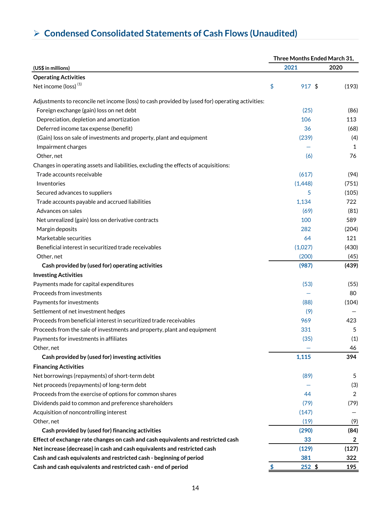# Ø **Condensed Consolidated Statements of Cash Flows (Unaudited)**

|                                                                                                 |    | Three Months Ended March 31, |                |  |  |  |
|-------------------------------------------------------------------------------------------------|----|------------------------------|----------------|--|--|--|
| (US\$ in millions)                                                                              |    | 2021                         | 2020           |  |  |  |
| <b>Operating Activities</b>                                                                     |    |                              |                |  |  |  |
| Net income (loss) <sup>(1)</sup>                                                                | \$ | $917$ \$                     | (193)          |  |  |  |
| Adjustments to reconcile net income (loss) to cash provided by (used for) operating activities: |    |                              |                |  |  |  |
| Foreign exchange (gain) loss on net debt                                                        |    | (25)                         | (86)           |  |  |  |
| Depreciation, depletion and amortization                                                        |    | 106                          | 113            |  |  |  |
| Deferred income tax expense (benefit)                                                           |    | 36                           | (68)           |  |  |  |
| (Gain) loss on sale of investments and property, plant and equipment                            |    | (239)                        | (4)            |  |  |  |
| Impairment charges                                                                              |    |                              | 1              |  |  |  |
| Other, net                                                                                      |    | (6)                          | 76             |  |  |  |
| Changes in operating assets and liabilities, excluding the effects of acquisitions:             |    |                              |                |  |  |  |
| Trade accounts receivable                                                                       |    | (617)                        | (94)           |  |  |  |
| Inventories                                                                                     |    | (1,448)                      | (751)          |  |  |  |
| Secured advances to suppliers                                                                   |    | 5                            | (105)          |  |  |  |
| Trade accounts payable and accrued liabilities                                                  |    | 1,134                        | 722            |  |  |  |
| Advances on sales                                                                               |    | (69)                         | (81)           |  |  |  |
| Net unrealized (gain) loss on derivative contracts                                              |    | 100                          | 589            |  |  |  |
| Margin deposits                                                                                 |    | 282                          | (204)          |  |  |  |
| Marketable securities                                                                           |    | 64                           | 121            |  |  |  |
| Beneficial interest in securitized trade receivables                                            |    | (1,027)                      | (430)          |  |  |  |
| Other, net                                                                                      |    | (200)                        | (45)           |  |  |  |
| Cash provided by (used for) operating activities                                                |    | (987)                        | (439)          |  |  |  |
| <b>Investing Activities</b>                                                                     |    |                              |                |  |  |  |
| Payments made for capital expenditures                                                          |    | (53)                         | (55)           |  |  |  |
| Proceeds from investments                                                                       |    |                              | 80             |  |  |  |
| Payments for investments                                                                        |    | (88)                         | (104)          |  |  |  |
| Settlement of net investment hedges                                                             |    | (9)                          |                |  |  |  |
| Proceeds from beneficial interest in securitized trade receivables                              |    | 969                          | 423            |  |  |  |
| Proceeds from the sale of investments and property, plant and equipment                         |    | 331                          | 5              |  |  |  |
| Payments for investments in affiliates                                                          |    | (35)                         | (1)            |  |  |  |
| Other, net                                                                                      |    |                              | 46             |  |  |  |
| Cash provided by (used for) investing activities                                                |    | 1,115                        | 394            |  |  |  |
| <b>Financing Activities</b>                                                                     |    |                              |                |  |  |  |
| Net borrowings (repayments) of short-term debt                                                  |    | (89)                         | 5              |  |  |  |
| Net proceeds (repayments) of long-term debt                                                     |    |                              | (3)            |  |  |  |
| Proceeds from the exercise of options for common shares                                         |    | 44                           | $\overline{c}$ |  |  |  |
| Dividends paid to common and preference shareholders                                            |    | (79)                         | (79)           |  |  |  |
| Acquisition of noncontrolling interest                                                          |    | (147)                        |                |  |  |  |
| Other, net                                                                                      |    | (19)                         | (9)            |  |  |  |
| Cash provided by (used for) financing activities                                                |    | (290)                        | (84)           |  |  |  |
| Effect of exchange rate changes on cash and cash equivalents and restricted cash                |    | 33                           | $\overline{2}$ |  |  |  |
| Net increase (decrease) in cash and cash equivalents and restricted cash                        |    | (129)                        | (127)          |  |  |  |
| Cash and cash equivalents and restricted cash - beginning of period                             |    | 381                          | 322            |  |  |  |
| Cash and cash equivalents and restricted cash - end of period                                   | \$ | $252$ \$                     | 195            |  |  |  |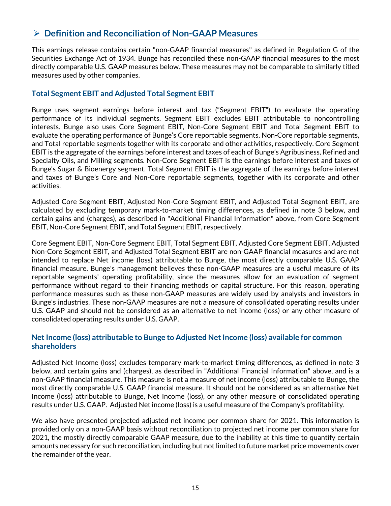## Ø **Definition and Reconciliation of Non-GAAP Measures**

This earnings release contains certain "non-GAAP financial measures" as defined in Regulation G of the Securities Exchange Act of 1934. Bunge has reconciled these non-GAAP financial measures to the most directly comparable U.S. GAAP measures below. These measures may not be comparable to similarly titled measures used by other companies.

#### **Total Segment EBIT and Adjusted Total Segment EBIT**

Bunge uses segment earnings before interest and tax ("Segment EBIT") to evaluate the operating performance of its individual segments. Segment EBIT excludes EBIT attributable to noncontrolling interests. Bunge also uses Core Segment EBIT, Non-Core Segment EBIT and Total Segment EBIT to evaluate the operating performance of Bunge's Core reportable segments, Non-Core reportable segments, and Total reportable segments together with its corporate and other activities, respectively. Core Segment EBIT is the aggregate of the earnings before interest and taxes of each of Bunge's Agribusiness, Refined and Specialty Oils, and Milling segments. Non-Core Segment EBIT is the earnings before interest and taxes of Bunge's Sugar & Bioenergy segment. Total Segment EBIT is the aggregate of the earnings before interest and taxes of Bunge's Core and Non-Core reportable segments, together with its corporate and other activities.

Adjusted Core Segment EBIT, Adjusted Non-Core Segment EBIT, and Adjusted Total Segment EBIT, are calculated by excluding temporary mark-to-market timing differences, as defined in note 3 below, and certain gains and (charges), as described in "Additional Financial Information" above, from Core Segment EBIT, Non-Core Segment EBIT, and Total Segment EBIT, respectively.

Core Segment EBIT, Non-Core Segment EBIT, Total Segment EBIT, Adjusted Core Segment EBIT, Adjusted Non-Core Segment EBIT, and Adjusted Total Segment EBIT are non-GAAP financial measures and are not intended to replace Net income (loss) attributable to Bunge, the most directly comparable U.S. GAAP financial measure. Bunge's management believes these non-GAAP measures are a useful measure of its reportable segments' operating profitability, since the measures allow for an evaluation of segment performance without regard to their financing methods or capital structure. For this reason, operating performance measures such as these non-GAAP measures are widely used by analysts and investors in Bunge's industries. These non-GAAP measures are not a measure of consolidated operating results under U.S. GAAP and should not be considered as an alternative to net income (loss) or any other measure of consolidated operating results under U.S. GAAP.

#### **Net Income (loss) attributable to Bunge to Adjusted Net Income (loss) available for common shareholders**

Adjusted Net Income (loss) excludes temporary mark-to-market timing differences, as defined in note 3 below, and certain gains and (charges), as described in "Additional Financial Information" above, and is a non-GAAP financial measure. This measure is not a measure of net income (loss) attributable to Bunge, the most directly comparable U.S. GAAP financial measure. It should not be considered as an alternative Net Income (loss) attributable to Bunge, Net Income (loss), or any other measure of consolidated operating results under U.S. GAAP. Adjusted Net income (loss) is a useful measure of the Company's profitability.

We also have presented projected adjusted net income per common share for 2021. This information is provided only on a non-GAAP basis without reconciliation to projected net income per common share for 2021, the mostly directly comparable GAAP measure, due to the inability at this time to quantify certain amounts necessary for such reconciliation, including but not limited to future market price movements over the remainder of the year.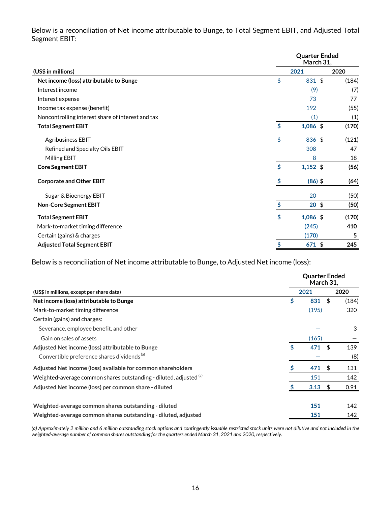Below is a reconciliation of Net income attributable to Bunge, to Total Segment EBIT, and Adjusted Total Segment EBIT: j

|                                                   | <b>Quarter Ended</b><br>March 31, |       |  |  |
|---------------------------------------------------|-----------------------------------|-------|--|--|
| (US\$ in millions)                                | 2021                              | 2020  |  |  |
| Net income (loss) attributable to Bunge           | \$<br>831 \$                      | (184) |  |  |
| Interest income                                   | (9)                               | (7)   |  |  |
| Interest expense                                  | 73                                | 77    |  |  |
| Income tax expense (benefit)                      | 192                               | (55)  |  |  |
| Noncontrolling interest share of interest and tax | (1)                               | (1)   |  |  |
| <b>Total Segment EBIT</b>                         | \$<br>1,086 \$                    | (170) |  |  |
| <b>Agribusiness EBIT</b>                          | \$<br>836 \$                      | (121) |  |  |
| Refined and Specialty Oils EBIT                   | 308                               | 47    |  |  |
| Milling EBIT                                      | 8                                 | 18    |  |  |
| <b>Core Segment EBIT</b>                          | \$<br>$1,152$ \$                  | (56)  |  |  |
| <b>Corporate and Other EBIT</b>                   | \$<br>$(86)$ \$                   | (64)  |  |  |
| Sugar & Bioenergy EBIT                            | 20                                | (50)  |  |  |
| <b>Non-Core Segment EBIT</b>                      | \$<br>$20 \;$ \$                  | (50)  |  |  |
| <b>Total Segment EBIT</b>                         | \$<br>$1,086$ \$                  | (170) |  |  |
| Mark-to-market timing difference                  | (245)                             | 410   |  |  |
| Certain (gains) & charges                         | (170)                             | 5     |  |  |
| <b>Adjusted Total Segment EBIT</b>                | $671$ \$                          | 245   |  |  |

Below is a reconciliation of Net income attributable to Bunge, to Adjusted Net income (loss):

|                                                                    | <b>Quarter Ended</b><br>March 31. |       |      |       |  |
|--------------------------------------------------------------------|-----------------------------------|-------|------|-------|--|
| (US\$ in millions, except per share data)                          | 2021                              |       | 2020 |       |  |
| Net income (loss) attributable to Bunge                            | \$                                | 831   | \$   | (184) |  |
| Mark-to-market timing difference                                   |                                   | (195) |      | 320   |  |
| Certain (gains) and charges:                                       |                                   |       |      |       |  |
| Severance, employee benefit, and other                             |                                   |       |      | 3     |  |
| Gain on sales of assets                                            |                                   | (165) |      |       |  |
| Adjusted Net income (loss) attributable to Bunge                   | \$                                | 471   | \$   | 139   |  |
| Convertible preference shares dividends <sup>(a)</sup>             |                                   |       |      | (8)   |  |
| Adjusted Net income (loss) available for common shareholders       |                                   | 471   | \$   | 131   |  |
| Weighted-average common shares outstanding - diluted, adjusted (a) |                                   | 151   |      | 142   |  |
| Adjusted Net income (loss) per common share - diluted              |                                   | 3.13  |      | 0.91  |  |
| Weighted-average common shares outstanding - diluted               |                                   | 151   |      | 142   |  |
| Weighted-average common shares outstanding - diluted, adjusted     |                                   | 151   |      | 142   |  |

*(a) Approximately 2 million and 6 million outstanding stock options and contingently issuable restricted stock units were not dilutive and not included in the weighted-average number of common shares outstanding for the quarters ended March 31, 2021 and 2020, respectively.*